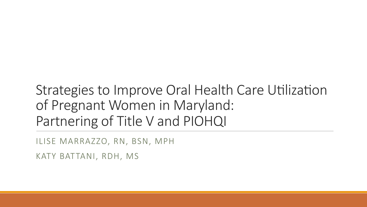## Strategies to Improve Oral Health Care Utilization of Pregnant Women in Maryland: Partnering of Title V and PIOHQI

ILISE MARRAZZO, RN, BSN, MPH

KATY BATTANI, RDH, MS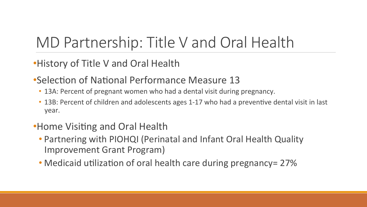# MD Partnership: Title V and Oral Health

- History of Title V and Oral Health
- •Selection of National Performance Measure 13
	- 13A: Percent of pregnant women who had a dental visit during pregnancy.
	- 13B: Percent of children and adolescents ages 1-17 who had a preventive dental visit in last year.
- •Home Visiting and Oral Health
	- Partnering with PIOHQI (Perinatal and Infant Oral Health Quality Improvement Grant Program)
	- Medicaid utilization of oral health care during pregnancy= 27%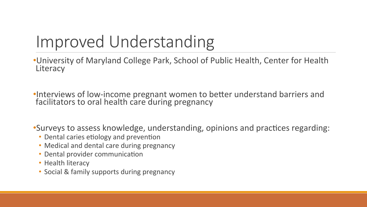# Improved Understanding

•University of Maryland College Park, School of Public Health, Center for Health **Literacy** 

•Interviews of low-income pregnant women to better understand barriers and facilitators to oral health care during pregnancy

•Surveys to assess knowledge, understanding, opinions and practices regarding:

- Dental caries etiology and prevention
- Medical and dental care during pregnancy
- Dental provider communication
- Health literacy
- Social & family supports during pregnancy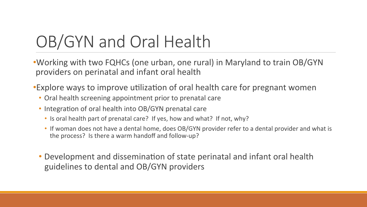# OB/GYN and Oral Health

• Working with two FQHCs (one urban, one rural) in Maryland to train OB/GYN providers on perinatal and infant oral health

•Explore ways to improve utilization of oral health care for pregnant women

- Oral health screening appointment prior to prenatal care
- Integration of oral health into OB/GYN prenatal care
	- Is oral health part of prenatal care? If yes, how and what? If not, why?
	- If woman does not have a dental home, does OB/GYN provider refer to a dental provider and what is the process? Is there a warm handoff and follow-up?
- Development and dissemination of state perinatal and infant oral health guidelines to dental and OB/GYN providers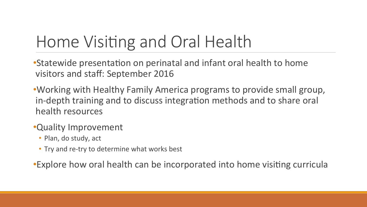# Home Visiting and Oral Health

• Statewide presentation on perinatal and infant oral health to home visitors and staff: September 2016

• Working with Healthy Family America programs to provide small group, in-depth training and to discuss integration methods and to share oral health resources

### •Quality Improvement

- Plan, do study, act
- Try and re-try to determine what works best

•Explore how oral health can be incorporated into home visiting curricula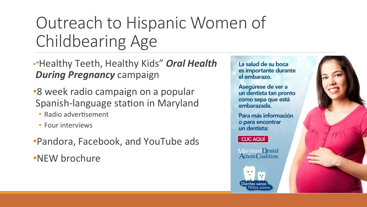# Outreach to Hispanic Women of Childbearing Age

• "Healthy Teeth, Healthy Kids" Oral Health *During Pregnancy campaign* 

- •8 week radio campaign on a popular Spanish-language station in Maryland
	- Radio advertisement
	- Four interviews
- •Pandora, Facebook, and YouTube ads
- •NEW brochure

La salud de su boca es importante durante el embarazo. Asegúrese de ver a un dentista tan pronto como sepa que está embarazada. Para más información o para encontrar un dentista: CLIC AQUÍ Maryland Dental<br>Action Coalition

Dientes sano:

liños sanos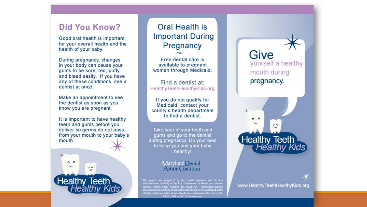### Did You Know?

Good oral health is important for your overall health and the health of your baby.

During pregnancy, changes in your body can cause your gums to be sore, red, puffy and bleed easily. If you have any of these conditions, see a dentist at once.

Make an appointment to see the dentist as soon as you know you are pregnant.

It is important to have healthy teeth and gums before you deliver so germs do not pass from your mouth to your baby's mouth.



**Oral Health is Important During** Pregnancy

Free dental care is available to pregnant women through Medicaid.

Find a dentist at: Healthy Teeth Healthy Kids.org

If you do not qualify for Medicaid, contact your county's health department to find a dentist.

Take care of your teeth and gums and go to the dentist during pregnancy. Do your best to keep you and your baby healthy!

#### Maryland Demal **Action Coalition**

This project was supported by the Health Resources and Services Administration (HRSA) of the U.S. Department of Health and Human Services (HHS), Grant Number: H47MC28476\*. Information/content and conclusions are those of the author and should not be construed as the official position or policy of, nor should any endorsements be inferred by HRSA, HHS or the U.S. Government

Give yourself a healthy mouth during pregnancy.

 $\bullet$   $\bullet$  $0<sup>o</sup>$ Healthy Teeth<br>Healthy Kids

www.HealthyTeethHealthyKids.org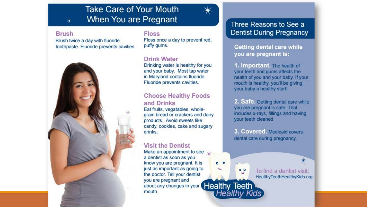### **Take Care of Your Mouth** When You are Pregnant

e e

 $^{\circ}$ 

Healthy Kids

### Three Reasons to See a **Dentist During Pregnancy**

Getting dental care while you are pregnant is:

1. Important. The health of your teeth and gums affects the health of you and your baby. If your mouth is healthy, you'll be giving your baby a healthy start!

2. Safe. Getting dental care while you are pregnant is safe. That includes x-rays, fillings and having your teeth cleaned

3. Covered, Medicaid covers dental care during pregnancy.

> To find a dentist visit: HealthyTeethHealthyKids.org

⋇

#### **Brush**

Brush twice a day with fluoride toothpaste. Fluoride prevents cavities.



**Floss** 

Floss once a day to prevent red. puffy gums.

### **Drink Water**

Drinking water is healthy for you and your baby. Most tap water in Maryland contains fluoride. Fluoride prevents cavities.

### **Choose Healthy Foods** and Drinks

Eat fruits, vegatables, wholegrain bread or crackers and dairy products. Avoid sweets like candy, cookies, cake and sugary drinks.

### **Visit the Dentist**

Make an appointment to see a dentist as soon as you know you are pregnant. It is just as important as going to the doctor. Tell your dentist you are pregnant and Healthy Teeth about any changes in your mouth.